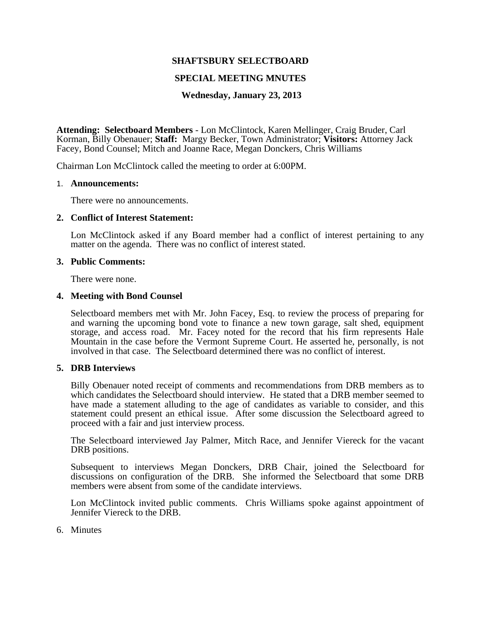# **SHAFTSBURY SELECTBOARD**

## **SPECIAL MEETING MNUTES**

## **Wednesday, January 23, 2013**

**Attending: Selectboard Members** - Lon McClintock, Karen Mellinger, Craig Bruder, Carl Korman, Billy Obenauer; **Staff:** Margy Becker, Town Administrator; **Visitors:** Attorney Jack Facey, Bond Counsel; Mitch and Joanne Race, Megan Donckers, Chris Williams

Chairman Lon McClintock called the meeting to order at 6:00PM.

#### 1. **Announcements:**

There were no announcements.

## **2. Conflict of Interest Statement:**

Lon McClintock asked if any Board member had a conflict of interest pertaining to any matter on the agenda. There was no conflict of interest stated.

#### **3. Public Comments:**

There were none.

## **4. Meeting with Bond Counsel**

Selectboard members met with Mr. John Facey, Esq. to review the process of preparing for and warning the upcoming bond vote to finance a new town garage, salt shed, equipment storage, and access road. Mr. Facey noted for the record that his firm represents Hale Mountain in the case before the Vermont Supreme Court. He asserted he, personally, is not involved in that case. The Selectboard determined there was no conflict of interest.

# **5. DRB Interviews**

Billy Obenauer noted receipt of comments and recommendations from DRB members as to which candidates the Selectboard should interview. He stated that a DRB member seemed to have made a statement alluding to the age of candidates as variable to consider, and this statement could present an ethical issue. After some discussion the Selectboard agreed to proceed with a fair and just interview process.

The Selectboard interviewed Jay Palmer, Mitch Race, and Jennifer Viereck for the vacant DRB positions.

Subsequent to interviews Megan Donckers, DRB Chair, joined the Selectboard for discussions on configuration of the DRB. She informed the Selectboard that some DRB members were absent from some of the candidate interviews.

Lon McClintock invited public comments. Chris Williams spoke against appointment of Jennifer Viereck to the DRB.

6. Minutes